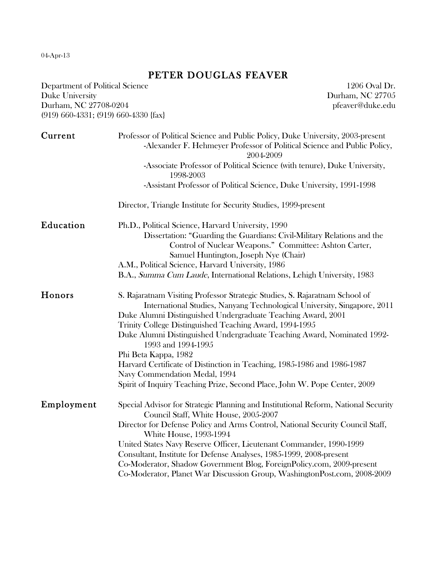04-Apr-13

# PETER DOUGLAS FEAVER

Department of Political Science 1206 Oval Dr.<br>
1206 Oval Dr. Duke University Durham, NC 27705 Durham, NC 27708-0204 (919) 660-4331; (919) 660-4330 {fax}

Durham, NC 27705<br>pfeaver@duke.edu

| Current    | Professor of Political Science and Public Policy, Duke University, 2003-present<br>-Alexander F. Hehmeyer Professor of Political Science and Public Policy,<br>2004-2009 |
|------------|--------------------------------------------------------------------------------------------------------------------------------------------------------------------------|
|            | -Associate Professor of Political Science (with tenure), Duke University,<br>1998-2003                                                                                   |
|            | -Assistant Professor of Political Science, Duke University, 1991-1998                                                                                                    |
|            | Director, Triangle Institute for Security Studies, 1999-present                                                                                                          |
| Education  | Ph.D., Political Science, Harvard University, 1990                                                                                                                       |
|            | Dissertation: "Guarding the Guardians: Civil-Military Relations and the                                                                                                  |
|            | Control of Nuclear Weapons." Committee: Ashton Carter,                                                                                                                   |
|            | Samuel Huntington, Joseph Nye (Chair)                                                                                                                                    |
|            | A.M., Political Science, Harvard University, 1986                                                                                                                        |
|            | B.A., Summa Cum Laude, International Relations, Lehigh University, 1983                                                                                                  |
| Honors     | S. Rajaratnam Visiting Professor Strategic Studies, S. Rajaratnam School of                                                                                              |
|            | International Studies, Nanyang Technological University, Singapore, 2011                                                                                                 |
|            | Duke Alumni Distinguished Undergraduate Teaching Award, 2001                                                                                                             |
|            | Trinity College Distinguished Teaching Award, 1994-1995                                                                                                                  |
|            | Duke Alumni Distinguished Undergraduate Teaching Award, Nominated 1992-<br>1993 and 1994-1995                                                                            |
|            | Phi Beta Kappa, 1982                                                                                                                                                     |
|            | Harvard Certificate of Distinction in Teaching, 1985-1986 and 1986-1987<br>Navy Commendation Medal, 1994                                                                 |
|            | Spirit of Inquiry Teaching Prize, Second Place, John W. Pope Center, 2009                                                                                                |
| Employment | Special Advisor for Strategic Planning and Institutional Reform, National Security                                                                                       |
|            | Council Staff, White House, 2005-2007                                                                                                                                    |
|            | Director for Defense Policy and Arms Control, National Security Council Staff,<br>White House, 1993-1994                                                                 |
|            | United States Navy Reserve Officer, Lieutenant Commander, 1990-1999                                                                                                      |
|            | Consultant, Institute for Defense Analyses, 1985-1999, 2008-present                                                                                                      |
|            | Co-Moderator, Shadow Government Blog, ForeignPolicy.com, 2009-present                                                                                                    |
|            | Co-Moderator, Planet War Discussion Group, WashingtonPost.com, 2008-2009                                                                                                 |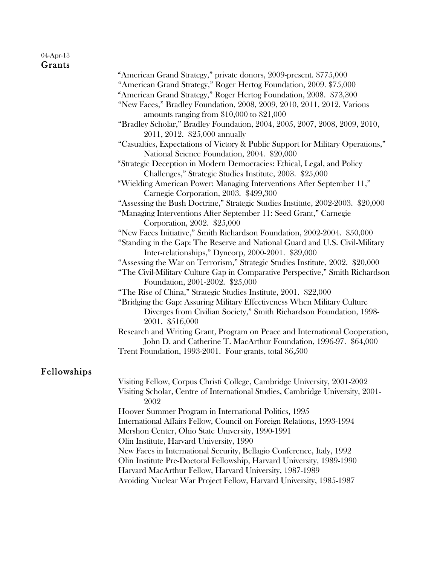### 04-Apr-13 Grants

|             | "American Grand Strategy," private donors, 2009-present. \$775,000                                               |
|-------------|------------------------------------------------------------------------------------------------------------------|
|             | "American Grand Strategy," Roger Hertog Foundation, 2009. \$75,000                                               |
|             | "American Grand Strategy," Roger Hertog Foundation, 2008. \$73,300                                               |
|             | "New Faces," Bradley Foundation, 2008, 2009, 2010, 2011, 2012. Various                                           |
|             | amounts ranging from $$10,000$ to $$21,000$                                                                      |
|             | "Bradley Scholar," Bradley Foundation, 2004, 2005, 2007, 2008, 2009, 2010,                                       |
|             | 2011, 2012. \$25,000 annually                                                                                    |
|             | "Casualties, Expectations of Victory & Public Support for Military Operations,"                                  |
|             | National Science Foundation, 2004. \$20,000                                                                      |
|             | "Strategic Deception in Modern Democracies: Ethical, Legal, and Policy                                           |
|             | Challenges," Strategic Studies Institute, 2003. \$25,000                                                         |
|             | "Wielding American Power: Managing Interventions After September 11,"                                            |
|             | Carnegie Corporation, 2003. \$499,300                                                                            |
|             | "Assessing the Bush Doctrine," Strategic Studies Institute, 2002-2003. \$20,000                                  |
|             | "Managing Interventions After September 11: Seed Grant," Carnegie                                                |
|             | Corporation, 2002. \$25,000                                                                                      |
|             | "New Faces Initiative," Smith Richardson Foundation, 2002-2004. \$50,000                                         |
|             | "Standing in the Gap: The Reserve and National Guard and U.S. Civil-Military                                     |
|             | Inter-relationships," Dyncorp, 2000-2001. \$39,000                                                               |
|             | "Assessing the War on Terrorism," Strategic Studies Institute, 2002. \$20,000                                    |
|             | "The Civil-Military Culture Gap in Comparative Perspective," Smith Richardson<br>Foundation, 2001-2002. \$25,000 |
|             | "The Rise of China," Strategic Studies Institute, 2001. \$22,000                                                 |
|             | "Bridging the Gap: Assuring Military Effectiveness When Military Culture                                         |
|             | Diverges from Civilian Society," Smith Richardson Foundation, 1998-<br>2001. \$516,000                           |
|             | Research and Writing Grant, Program on Peace and International Cooperation,                                      |
|             | John D. and Catherine T. MacArthur Foundation, 1996-97. \$64,000                                                 |
|             | Trent Foundation, 1993-2001. Four grants, total \$6,500                                                          |
| Fellowships |                                                                                                                  |
|             | Visiting Fellow, Corpus Christi College, Cambridge University, 2001-2002                                         |
|             | Visiting Scholar, Centre of International Studies, Cambridge University, 2001-<br>2002                           |

Hoover Summer Program in International Politics, 1995

International Affairs Fellow, Council on Foreign Relations, 1993-1994

Mershon Center, Ohio State University, 1990-1991

Olin Institute, Harvard University, 1990

New Faces in International Security, Bellagio Conference, Italy, 1992

Olin Institute Pre-Doctoral Fellowship, Harvard University, 1989-1990

Harvard MacArthur Fellow, Harvard University, 1987-1989

Avoiding Nuclear War Project Fellow, Harvard University, 1985-1987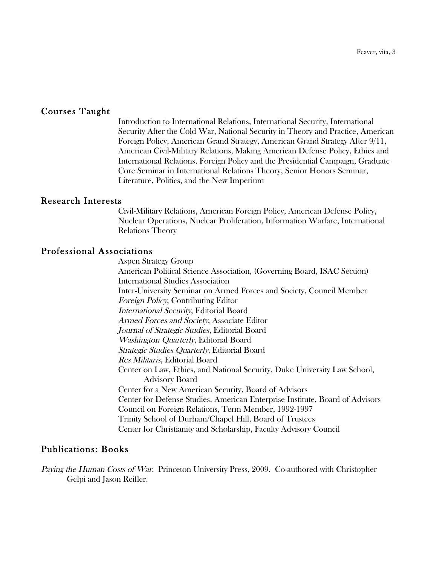#### Courses Taught

Introduction to International Relations, International Security, International Security After the Cold War, National Security in Theory and Practice, American Foreign Policy, American Grand Strategy, American Grand Strategy After 9/11, American Civil-Military Relations, Making American Defense Policy, Ethics and International Relations, Foreign Policy and the Presidential Campaign, Graduate Core Seminar in International Relations Theory, Senior Honors Seminar, Literature, Politics, and the New Imperium

### Research Interests

Civil-Military Relations, American Foreign Policy, American Defense Policy, Nuclear Operations, Nuclear Proliferation, Information Warfare, International Relations Theory

### Professional Associations

Aspen Strategy Group American Political Science Association, (Governing Board, ISAC Section) International Studies Association Inter-University Seminar on Armed Forces and Society, Council Member Foreign Policy, Contributing Editor International Security, Editorial Board Armed Forces and Society, Associate Editor Journal of Strategic Studies, Editorial Board Washington Quarterly, Editorial Board Strategic Studies Quarterly, Editorial Board Res Militaris, Editorial Board Center on Law, Ethics, and National Security, Duke University Law School, Advisory Board Center for a New American Security, Board of Advisors Center for Defense Studies, American Enterprise Institute, Board of Advisors Council on Foreign Relations, Term Member, 1992-1997 Trinity School of Durham/Chapel Hill, Board of Trustees Center for Christianity and Scholarship, Faculty Advisory Council

#### Publications: Books

Paying the Human Costs of War. Princeton University Press, 2009. Co-authored with Christopher Gelpi and Jason Reifler.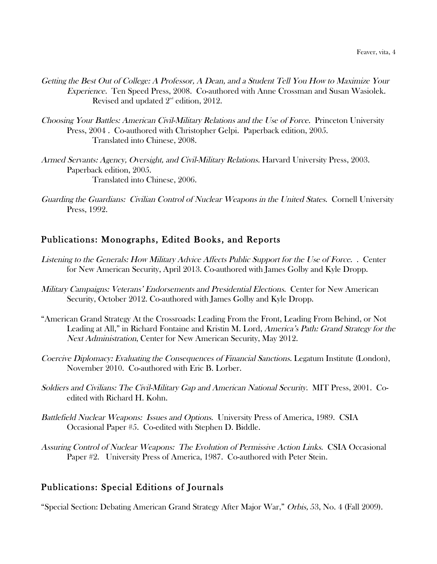- Getting the Best Out of College: A Professor, A Dean, and a Student Tell You How to Maximize Your Experience. Ten Speed Press, 2008. Co-authored with Anne Crossman and Susan Wasiolek. Revised and updated  $2<sup>nd</sup>$  edition, 2012.
- Choosing Your Battles: American Civil-Military Relations and the Use of Force. Princeton University Press, 2004 . Co-authored with Christopher Gelpi. Paperback edition, 2005. Translated into Chinese, 2008.
- Armed Servants: Agency, Oversight, and Civil-Military Relations. Harvard University Press, 2003. Paperback edition, 2005. Translated into Chinese, 2006.
- Guarding the Guardians: Civilian Control of Nuclear Weapons in the United States. Cornell University Press, 1992.

## Publications: Monographs, Edited Books, and Reports

- Listening to the Generals: How Military Advice Affects Public Support for the Use of Force. . Center for New American Security, April 2013. Co-authored with James Golby and Kyle Dropp.
- Military Campaigns: Veterans' Endorsements and Presidential Elections. Center for New American Security, October 2012. Co-authored with James Golby and Kyle Dropp.
- "American Grand Strategy At the Crossroads: Leading From the Front, Leading From Behind, or Not Leading at All," in Richard Fontaine and Kristin M. Lord, America's Path: Grand Strategy for the Next Administration, Center for New American Security, May 2012.
- Coercive Diplomacy: Evaluating the Consequences of Financial Sanctions. Legatum Institute (London), November 2010. Co-authored with Eric B. Lorber.
- Soldiers and Civilians: The Civil-Military Gap and American National Security. MIT Press, 2001. Coedited with Richard H. Kohn.
- Battlefield Nuclear Weapons: Issues and Options. University Press of America, 1989. CSIA Occasional Paper #5. Co-edited with Stephen D. Biddle.
- Assuring Control of Nuclear Weapons: The Evolution of Permissive Action Links. CSIA Occasional Paper #2. University Press of America, 1987. Co-authored with Peter Stein.

# Publications: Special Editions of Journals

"Special Section: Debating American Grand Strategy After Major War," Orbis, 53, No. 4 (Fall 2009).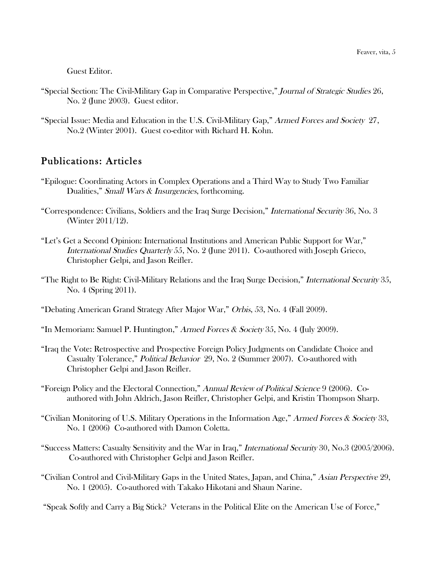Guest Editor.

- "Special Section: The Civil-Military Gap in Comparative Perspective," Journal of Strategic Studies 26, No. 2 (June 2003). Guest editor.
- "Special Issue: Media and Education in the U.S. Civil-Military Gap," Armed Forces and Society 27, No.2 (Winter 2001). Guest co-editor with Richard H. Kohn.

# Publications: Articles

- "Epilogue: Coordinating Actors in Complex Operations and a Third Way to Study Two Familiar Dualities," Small Wars & Insurgencies, forthcoming.
- "Correspondence: Civilians, Soldiers and the Iraq Surge Decision," International Security 36, No. 3 (Winter 2011/12).
- "Let's Get a Second Opinion: International Institutions and American Public Support for War," International Studies Quarterly 55, No. 2 (June 2011). Co-authored with Joseph Grieco, Christopher Gelpi, and Jason Reifler.
- "The Right to Be Right: Civil-Military Relations and the Iraq Surge Decision," International Security 35, No. 4 (Spring 2011).
- "Debating American Grand Strategy After Major War," Orbis, 53, No. 4 (Fall 2009).
- "In Memoriam: Samuel P. Huntington," Armed Forces & Society 35, No. 4 (July 2009).
- "Iraq the Vote: Retrospective and Prospective Foreign Policy Judgments on Candidate Choice and Casualty Tolerance," Political Behavior 29, No. 2 (Summer 2007). Co-authored with Christopher Gelpi and Jason Reifler.
- "Foreign Policy and the Electoral Connection," Annual Review of Political Science 9 (2006). Coauthored with John Aldrich, Jason Reifler, Christopher Gelpi, and Kristin Thompson Sharp.
- "Civilian Monitoring of U.S. Military Operations in the Information Age," Armed Forces & Society 33, No. 1 (2006) Co-authored with Damon Coletta.
- "Success Matters: Casualty Sensitivity and the War in Iraq," International Security 30, No.3 (2005/2006). Co-authored with Christopher Gelpi and Jason Reifler.
- "Civilian Control and Civil-Military Gaps in the United States, Japan, and China," Asian Perspective 29, No. 1 (2005). Co-authored with Takako Hikotani and Shaun Narine.

"Speak Softly and Carry a Big Stick? Veterans in the Political Elite on the American Use of Force,"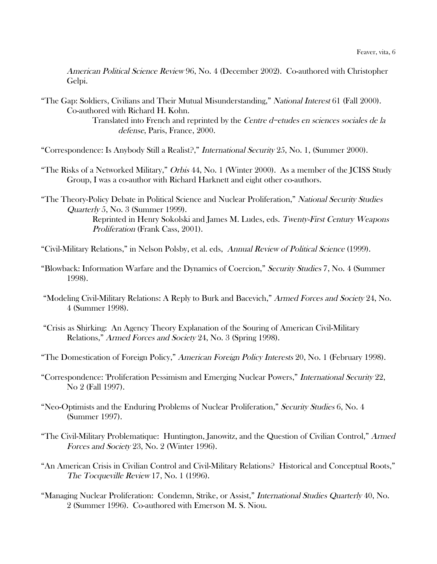American Political Science Review 96, No. 4 (December 2002). Co-authored with Christopher Gelpi.

"The Gap: Soldiers, Civilians and Their Mutual Misunderstanding," National Interest 61 (Fall 2000). Co-authored with Richard H. Kohn.

> Translated into French and reprinted by the Centre d=etudes en sciences sociales de la defense, Paris, France, 2000.

"Correspondence: Is Anybody Still a Realist?," International Security 25, No. 1, (Summer 2000).

- "The Risks of a Networked Military," Orbis 44, No. 1 (Winter 2000). As a member of the JCISS Study Group, I was a co-author with Richard Harknett and eight other co-authors.
- "The Theory-Policy Debate in Political Science and Nuclear Proliferation," National Security Studies Quarterly 5, No. 3 (Summer 1999).

Reprinted in Henry Sokolski and James M. Ludes, eds. Twenty-First Century Weapons Proliferation (Frank Cass, 2001).

- "Civil-Military Relations," in Nelson Polsby, et al. eds, Annual Review of Political Science (1999).
- "Blowback: Information Warfare and the Dynamics of Coercion," Security Studies 7, No. 4 (Summer 1998).
- "Modeling Civil-Military Relations: A Reply to Burk and Bacevich," Armed Forces and Society 24, No. 4 (Summer 1998).
- "Crisis as Shirking: An Agency Theory Explanation of the Souring of American Civil-Military Relations," Armed Forces and Society 24, No. 3 (Spring 1998).
- "The Domestication of Foreign Policy," American Foreign Policy Interests 20, No. 1 (February 1998).
- "Correspondence: 'Proliferation Pessimism and Emerging Nuclear Powers," International Security 22, No 2 (Fall 1997).
- "Neo-Optimists and the Enduring Problems of Nuclear Proliferation," Security Studies 6, No. 4 (Summer 1997).
- "The Civil-Military Problematique: Huntington, Janowitz, and the Question of Civilian Control," Armed Forces and Society 23, No. 2 (Winter 1996).
- "An American Crisis in Civilian Control and Civil-Military Relations? Historical and Conceptual Roots," The Tocqueville Review 17, No. 1 (1996).
- "Managing Nuclear Proliferation: Condemn, Strike, or Assist," International Studies Quarterly 40, No. 2 (Summer 1996). Co-authored with Emerson M. S. Niou.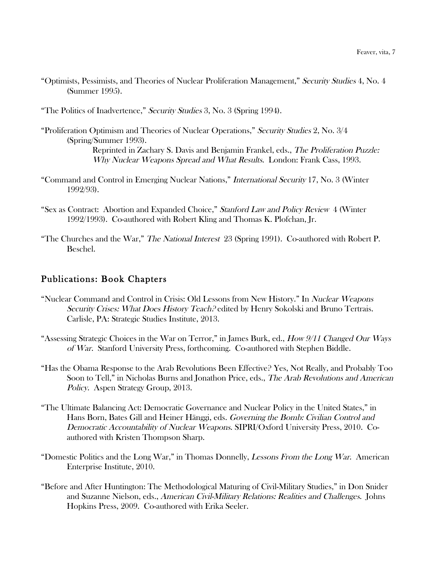- "Optimists, Pessimists, and Theories of Nuclear Proliferation Management," Security Studies 4, No. 4 (Summer 1995).
- "The Politics of Inadvertence," Security Studies 3, No. 3 (Spring 1994).
- "Proliferation Optimism and Theories of Nuclear Operations," Security Studies 2, No. 3/4 (Spring/Summer 1993). Reprinted in Zachary S. Davis and Benjamin Frankel, eds., The Proliferation Puzzle: Why Nuclear Weapons Spread and What Results. London: Frank Cass, 1993.
- "Command and Control in Emerging Nuclear Nations," International Security 17, No. 3 (Winter 1992/93).
- "Sex as Contract: Abortion and Expanded Choice," Stanford Law and Policy Review 4 (Winter 1992/1993). Co-authored with Robert Kling and Thomas K. Plofchan, Jr.
- "The Churches and the War," The National Interest 23 (Spring 1991). Co-authored with Robert P. Beschel.

#### Publications: Book Chapters

- "Nuclear Command and Control in Crisis: Old Lessons from New History." In Nuclear Weapons Security Crises: What Does History Teach? edited by Henry Sokolski and Bruno Tertrais. Carlisle, PA: Strategic Studies Institute, 2013.
- "Assessing Strategic Choices in the War on Terror," in James Burk, ed., How 9/11 Changed Our Ways of War. Stanford University Press, forthcoming. Co-authored with Stephen Biddle.
- "Has the Obama Response to the Arab Revolutions Been Effective? Yes, Not Really, and Probably Too Soon to Tell," in Nicholas Burns and Jonathon Price, eds., *The Arab Revolutions and American* Policy. Aspen Strategy Group, 2013.
- "The Ultimate Balancing Act: Democratic Governance and Nuclear Policy in the United States," in Hans Born, Bates Gill and Heiner Hänggi, eds. Governing the Bomb: Civilian Control and Democratic Accountability of Nuclear Weapons. SIPRI/Oxford University Press, 2010. Coauthored with Kristen Thompson Sharp.
- "Domestic Politics and the Long War," in Thomas Donnelly, Lessons From the Long War. American Enterprise Institute, 2010.
- "Before and After Huntington: The Methodological Maturing of Civil-Military Studies," in Don Snider and Suzanne Nielson, eds., American Civil-Military Relations: Realities and Challenges. Johns Hopkins Press, 2009. Co-authored with Erika Seeler.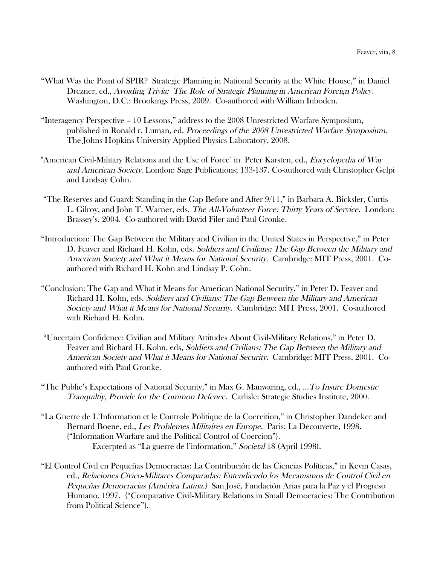- "What Was the Point of SPIR? Strategic Planning in National Security at the White House," in Daniel Drezner, ed., Avoiding Trivia: The Role of Strategic Planning in American Foreign Policy. Washington, D.C.: Brookings Press, 2009. Co-authored with William Inboden.
- "Interagency Perspective 10 Lessons," address to the 2008 Unrestricted Warfare Symposium, published in Ronald r. Luman, ed. Proceedings of the 2008 Unrestricted Warfare Symposium. The Johns Hopkins University Applied Physics Laboratory, 2008.
- "American Civil-Military Relations and the Use of Force" in Peter Karsten, ed., Encyclopedia of War and American Society. London: Sage Publications; 133-137. Co-authored with Christopher Gelpi and Lindsay Cohn.
- "The Reserves and Guard: Standing in the Gap Before and After 9/11," in Barbara A. Bicksler, Curtis L. Gilroy, and John T. Warner, eds. The All-Volunteer Force: Thirty Years of Service. London: Brassey's, 2004. Co-authored with David Filer and Paul Gronke.
- "Introduction: The Gap Between the Military and Civilian in the United States in Perspective," in Peter D. Feaver and Richard H. Kohn, eds. Soldiers and Civilians: The Gap Between the Military and American Society and What it Means for National Security. Cambridge: MIT Press, 2001. Coauthored with Richard H. Kohn and Lindsay P. Cohn.
- "Conclusion: The Gap and What it Means for American National Security," in Peter D. Feaver and Richard H. Kohn, eds. Soldiers and Civilians: The Gap Between the Military and American Society and What it Means for National Security. Cambridge: MIT Press, 2001. Co-authored with Richard H. Kohn.
- "Uncertain Confidence: Civilian and Military Attitudes About Civil-Military Relations," in Peter D. Feaver and Richard H. Kohn, eds, Soldiers and Civilians: The Gap Between the Military and American Society and What it Means for National Security. Cambridge: MIT Press, 2001. Coauthored with Paul Gronke.
- "The Public's Expectations of National Security," in Max G. Manwaring, ed., …To Insure Domestic Tranquiltiy, Provide for the Common Defence. Carlisle: Strategic Studies Institute, 2000.
- "La Guerre de L'Information et le Controle Politique de la Coercition," in Christopher Dandeker and Bernard Boene, ed., *Les Problemes Militaires en Europe.* Paris: La Decouverte, 1998. {"Information Warfare and the Political Control of Coercion"}. Excerpted as "La guerre de l'information," Societal 18 (April 1998).
- "El Control Civil en Pequeñas Democracias: La Contribución de las Ciencias Políticas," in Kevin Casas, ed., Relaciones Cívico-Militares Comparadas: Entendiendo los Mecanismos de Control Civil en Pequeñas Democracias (América Latina.) San José, Fundación Arias para la Paz y el Progreso Humano, 1997. {"Comparative Civil-Military Relations in Small Democracies: The Contribution from Political Science"}.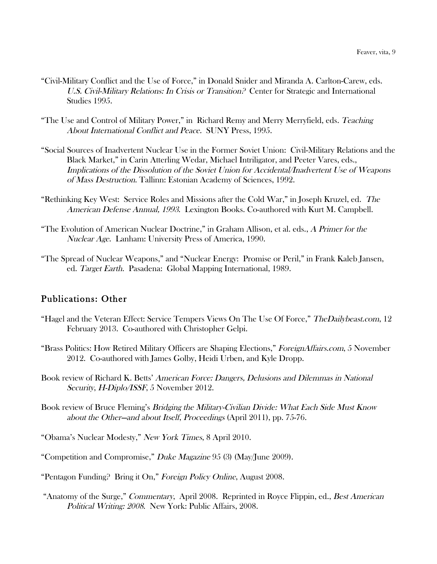- "Civil-Military Conflict and the Use of Force," in Donald Snider and Miranda A. Carlton-Carew, eds. U.S. Civil-Military Relations: In Crisis or Transition? Center for Strategic and International Studies 1995.
- "The Use and Control of Military Power," in Richard Remy and Merry Merryfield, eds. Teaching About International Conflict and Peace. SUNY Press, 1995.
- "Social Sources of Inadvertent Nuclear Use in the Former Soviet Union: Civil-Military Relations and the Black Market," in Carin Atterling Wedar, Michael Intriligator, and Peeter Vares, eds., Implications of the Dissolution of the Soviet Union for Accidental/Inadvertent Use of Weapons of Mass Destruction. Tallinn: Estonian Academy of Sciences, 1992.
- "Rethinking Key West: Service Roles and Missions after the Cold War," in Joseph Kruzel, ed. The American Defense Annual, 1993. Lexington Books. Co-authored with Kurt M. Campbell.
- "The Evolution of American Nuclear Doctrine," in Graham Allison, et al. eds., A Primer for the Nuclear Age. Lanham: University Press of America, 1990.
- "The Spread of Nuclear Weapons," and "Nuclear Energy: Promise or Peril," in Frank Kaleb Jansen, ed. Target Earth. Pasadena: Global Mapping International, 1989.

## Publications: Other

- "Hagel and the Veteran Effect: Service Tempers Views On The Use Of Force," TheDailybeast.com, 12 February 2013. Co-authored with Christopher Gelpi.
- "Brass Politics: How Retired Military Officers are Shaping Elections," ForeignAffairs.com, 5 November 2012. Co-authored with James Golby, Heidi Urben, and Kyle Dropp.
- Book review of Richard K. Betts' American Force: Dangers, Delusions and Dilemmas in National Security, H-Diplo/ISSF, 5 November 2012.
- Book review of Bruce Fleming's Bridging the Military-Civilian Divide: What Each Side Must Know about the Other—and about Itself, Proceedings (April 2011), pp. 75-76.
- "Obama's Nuclear Modesty," New York Times, 8 April 2010.
- "Competition and Compromise," Duke Magazine 95 (3) (May/June 2009).
- "Pentagon Funding? Bring it On," Foreign Policy Online, August 2008.
- "Anatomy of the Surge," Commentary, April 2008. Reprinted in Royce Flippin, ed., Best American Political Writing: 2008. New York: Public Affairs, 2008.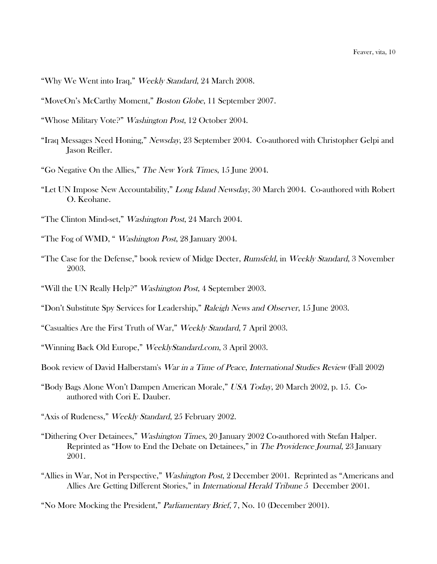- "Why We Went into Iraq," Weekly Standard, 24 March 2008.
- "MoveOn's McCarthy Moment," Boston Globe, 11 September 2007.
- "Whose Military Vote?" Washington Post, 12 October 2004.
- "Iraq Messages Need Honing," Newsday, 23 September 2004. Co-authored with Christopher Gelpi and Jason Reifler.
- "Go Negative On the Allies," The New York Times, 15 June 2004.
- "Let UN Impose New Accountability," Long Island Newsday, 30 March 2004. Co-authored with Robert O. Keohane.
- "The Clinton Mind-set," Washington Post, 24 March 2004.
- "The Fog of WMD, " Washington Post, 28 January 2004.
- "The Case for the Defense," book review of Midge Decter, Rumsfeld, in Weekly Standard, 3 November 2003.
- "Will the UN Really Help?" Washington Post, 4 September 2003.
- "Don't Substitute Spy Services for Leadership," Raleigh News and Observer, 15 June 2003.
- "Casualties Are the First Truth of War," Weekly Standard, 7 April 2003.
- "Winning Back Old Europe," WeeklyStandard.com, 3 April 2003.
- Book review of David Halberstam's War in a Time of Peace, International Studies Review (Fall 2002)
- "Body Bags Alone Won't Dampen American Morale," USA Today, 20 March 2002, p. 15. Coauthored with Cori E. Dauber.
- "Axis of Rudeness," Weekly Standard, 25 February 2002.
- "Dithering Over Detainees," Washington Times, 20 January 2002 Co-authored with Stefan Halper. Reprinted as "How to End the Debate on Detainees," in The Providence Journal, 23 January 2001.
- "Allies in War, Not in Perspective," Washington Post, 2 December 2001. Reprinted as "Americans and Allies Are Getting Different Stories," in International Herald Tribune 5 December 2001.
- "No More Mocking the President," Parliamentary Brief, 7, No. 10 (December 2001).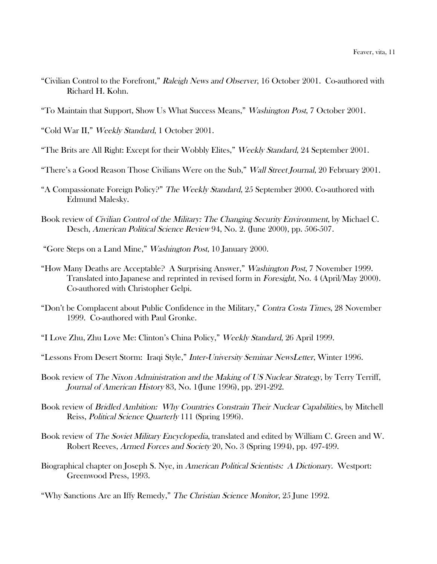- "Civilian Control to the Forefront," Raleigh News and Observer, 16 October 2001. Co-authored with Richard H. Kohn.
- "To Maintain that Support, Show Us What Success Means," Washington Post, 7 October 2001.
- "Cold War II," Weekly Standard, 1 October 2001.
- "The Brits are All Right: Except for their Wobbly Elites," Weekly Standard, 24 September 2001.
- "There's a Good Reason Those Civilians Were on the Sub," Wall Street Journal, 20 February 2001.
- "A Compassionate Foreign Policy?" The Weekly Standard, 25 September 2000. Co-authored with Edmund Malesky.
- Book review of Civilian Control of the Military: The Changing Security Environment, by Michael C. Desch, American Political Science Review 94, No. 2. (June 2000), pp. 506-507.
- "Gore Steps on a Land Mine," Washington Post, 10 January 2000.
- "How Many Deaths are Acceptable? A Surprising Answer," Washington Post, 7 November 1999. Translated into Japanese and reprinted in revised form in Foresight, No. 4 (April/May 2000). Co-authored with Christopher Gelpi.
- "Don't be Complacent about Public Confidence in the Military," Contra Costa Times, 28 November 1999. Co-authored with Paul Gronke.
- "I Love Zhu, Zhu Love Me: Clinton's China Policy," Weekly Standard, 26 April 1999.
- "Lessons From Desert Storm: Iraqi Style," Inter-University Seminar NewsLetter, Winter 1996.
- Book review of The Nixon Administration and the Making of US Nuclear Strategy, by Terry Terriff, Journal of American History 83, No. 1(June 1996), pp. 291-292.
- Book review of Bridled Ambition: Why Countries Constrain Their Nuclear Capabilities, by Mitchell Reiss, Political Science Quarterly 111 (Spring 1996).
- Book review of The Soviet Military Encyclopedia, translated and edited by William C. Green and W. Robert Reeves, Armed Forces and Society 20, No. 3 (Spring 1994), pp. 497-499.
- Biographical chapter on Joseph S. Nye, in American Political Scientists: A Dictionary. Westport: Greenwood Press, 1993.
- "Why Sanctions Are an Iffy Remedy," The Christian Science Monitor, 25 June 1992.